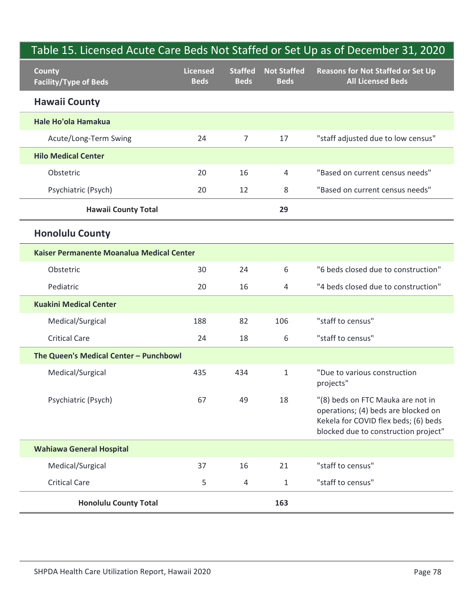| <b>County</b>                             | <b>Licensed</b> | <b>Staffed</b> | <b>Not Staffed</b> | Table 15. Licensed Acute Care Beds Not Staffed or Set Up as of December 31, 2020<br><b>Reasons for Not Staffed or Set Up</b>                             |
|-------------------------------------------|-----------------|----------------|--------------------|----------------------------------------------------------------------------------------------------------------------------------------------------------|
| <b>Facility/Type of Beds</b>              | <b>Beds</b>     | <b>Beds</b>    | <b>Beds</b>        | <b>All Licensed Beds</b>                                                                                                                                 |
| <b>Hawaii County</b>                      |                 |                |                    |                                                                                                                                                          |
| Hale Ho'ola Hamakua                       |                 |                |                    |                                                                                                                                                          |
| Acute/Long-Term Swing                     | 24              | $\overline{7}$ | 17                 | "staff adjusted due to low census"                                                                                                                       |
| <b>Hilo Medical Center</b>                |                 |                |                    |                                                                                                                                                          |
| Obstetric                                 | 20              | 16             | 4                  | "Based on current census needs"                                                                                                                          |
| Psychiatric (Psych)                       | 20              | 12             | 8                  | "Based on current census needs"                                                                                                                          |
| <b>Hawaii County Total</b>                |                 |                | 29                 |                                                                                                                                                          |
| <b>Honolulu County</b>                    |                 |                |                    |                                                                                                                                                          |
| Kaiser Permanente Moanalua Medical Center |                 |                |                    |                                                                                                                                                          |
| Obstetric                                 | 30              | 24             | 6                  | "6 beds closed due to construction"                                                                                                                      |
| Pediatric                                 | 20              | 16             | 4                  | "4 beds closed due to construction"                                                                                                                      |
| <b>Kuakini Medical Center</b>             |                 |                |                    |                                                                                                                                                          |
| Medical/Surgical                          | 188             | 82             | 106                | "staff to census"                                                                                                                                        |
| <b>Critical Care</b>                      | 24              | 18             | 6                  | "staff to census"                                                                                                                                        |
| The Queen's Medical Center - Punchbowl    |                 |                |                    |                                                                                                                                                          |
| Medical/Surgical                          | 435             | 434            | $\mathbf{1}$       | "Due to various construction<br>projects"                                                                                                                |
| Psychiatric (Psych)                       | 67              | 49             | 18                 | "(8) beds on FTC Mauka are not in<br>operations; (4) beds are blocked on<br>Kekela for COVID flex beds; (6) beds<br>blocked due to construction project" |
| <b>Wahiawa General Hospital</b>           |                 |                |                    |                                                                                                                                                          |
| Medical/Surgical                          | 37              | 16             | 21                 | "staff to census"                                                                                                                                        |
| <b>Critical Care</b>                      | 5               | 4              | $\mathbf{1}$       | "staff to census"                                                                                                                                        |
| <b>Honolulu County Total</b>              |                 |                | 163                |                                                                                                                                                          |